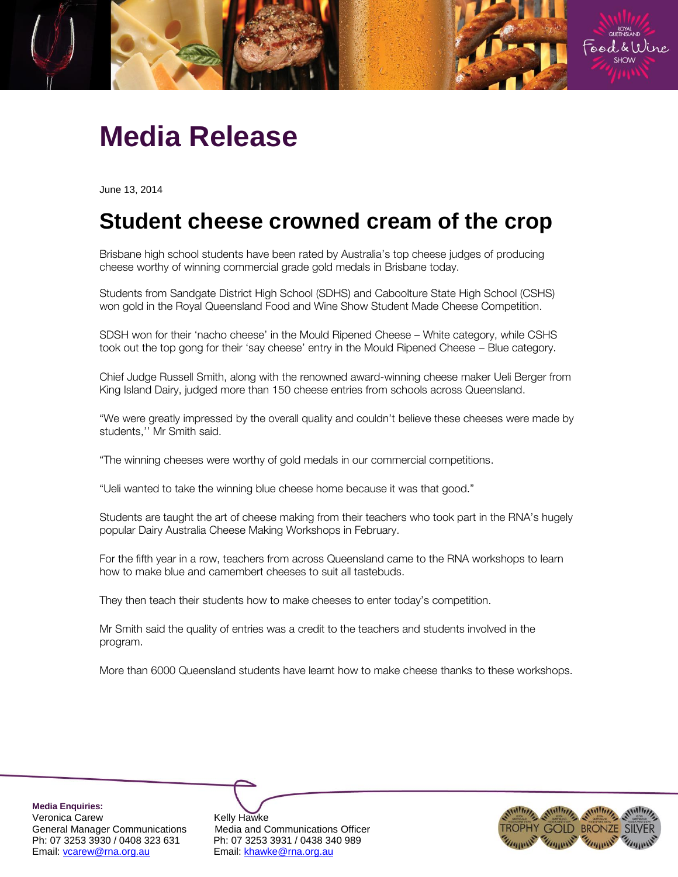

## **Media Release**

June 13, 2014

## **Student cheese crowned cream of the crop**

Brisbane high school students have been rated by Australia's top cheese judges of producing cheese worthy of winning commercial grade gold medals in Brisbane today.

Students from Sandgate District High School (SDHS) and Caboolture State High School (CSHS) won gold in the Royal Queensland Food and Wine Show Student Made Cheese Competition.

SDSH won for their 'nacho cheese' in the Mould Ripened Cheese – White category, while CSHS took out the top gong for their 'say cheese' entry in the Mould Ripened Cheese – Blue category.

Chief Judge Russell Smith, along with the renowned award-winning cheese maker Ueli Berger from King Island Dairy, judged more than 150 cheese entries from schools across Queensland.

"We were greatly impressed by the overall quality and couldn't believe these cheeses were made by students,'' Mr Smith said.

"The winning cheeses were worthy of gold medals in our commercial competitions.

"Ueli wanted to take the winning blue cheese home because it was that good."

Students are taught the art of cheese making from their teachers who took part in the RNA's hugely popular Dairy Australia Cheese Making Workshops in February.

For the fifth year in a row, teachers from across Queensland came to the RNA workshops to learn how to make blue and camembert cheeses to suit all tastebuds.

They then teach their students how to make cheeses to enter today's competition.

Mr Smith said the quality of entries was a credit to the teachers and students involved in the program.

More than 6000 Queensland students have learnt how to make cheese thanks to these workshops.

**Media Enquiries:** Veronica Carew **Kelly Hawke** Ph: 07 3253 3930 / 0408 323 631 Ph: 07 3253 3931 / 0438 340 989<br>Email: <u>vcarew@rna.org.au</u> Email: khawke@rna.org.au

General Manager Communications Media and Communications Officer Email: khawke@rna.org.au